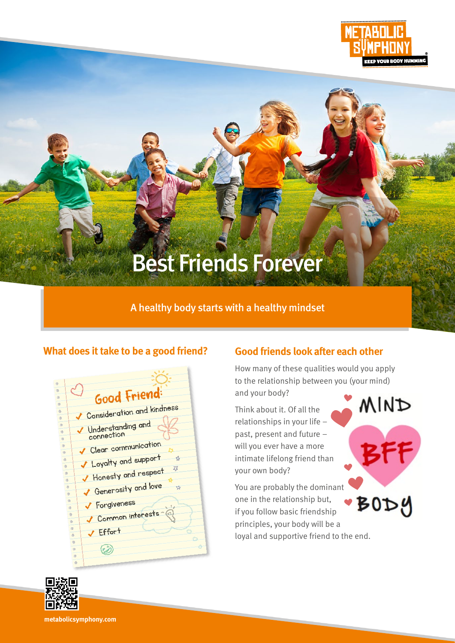

**MIND** 

# Best Friends Forever

# A healthy body starts with a healthy mindset

## **What does it take to be a good friend?**

| $\circ$<br>$\circ$<br>®<br>$\circ$ |                                   | Good Friend:                         |  |
|------------------------------------|-----------------------------------|--------------------------------------|--|
| $\circ$<br>$\circ$                 |                                   | Consideration and kindness           |  |
| $\circ$<br>$\circ$<br>$\circ$      |                                   | V Understanding and<br>connection    |  |
| $\circ$<br>$\circ$                 |                                   | Clear communication                  |  |
| <b>Ob</b><br>$\circ$               |                                   | V Loyalty and support<br>⇘           |  |
| $\circ$<br>$\circ$                 |                                   | 环<br>Honesty and respect             |  |
| (ii)<br><b>®</b>                   |                                   | Generosity and love<br>$\frac{1}{2}$ |  |
| $\circ$<br>$\circ$                 |                                   | ✔ Forgiveness                        |  |
| $\circ$<br>$\circ$                 |                                   | Common interests                     |  |
| $\circ$                            | $\circledcirc$                    | Effort                               |  |
|                                    | $\circ$<br><b>(ii)</b><br>$\circ$ |                                      |  |
|                                    |                                   |                                      |  |

# **Good friends look after each other**

How many of these qualities would you apply to the relationship between you (your mind) and your body?

Think about it. Of all the relationships in your life – past, present and future – will you ever have a more intimate lifelong friend than your own body?

You are probably the dominant one in the relationship but, ·BODY if you follow basic friendship principles, your body will be a loyal and supportive friend to the end.